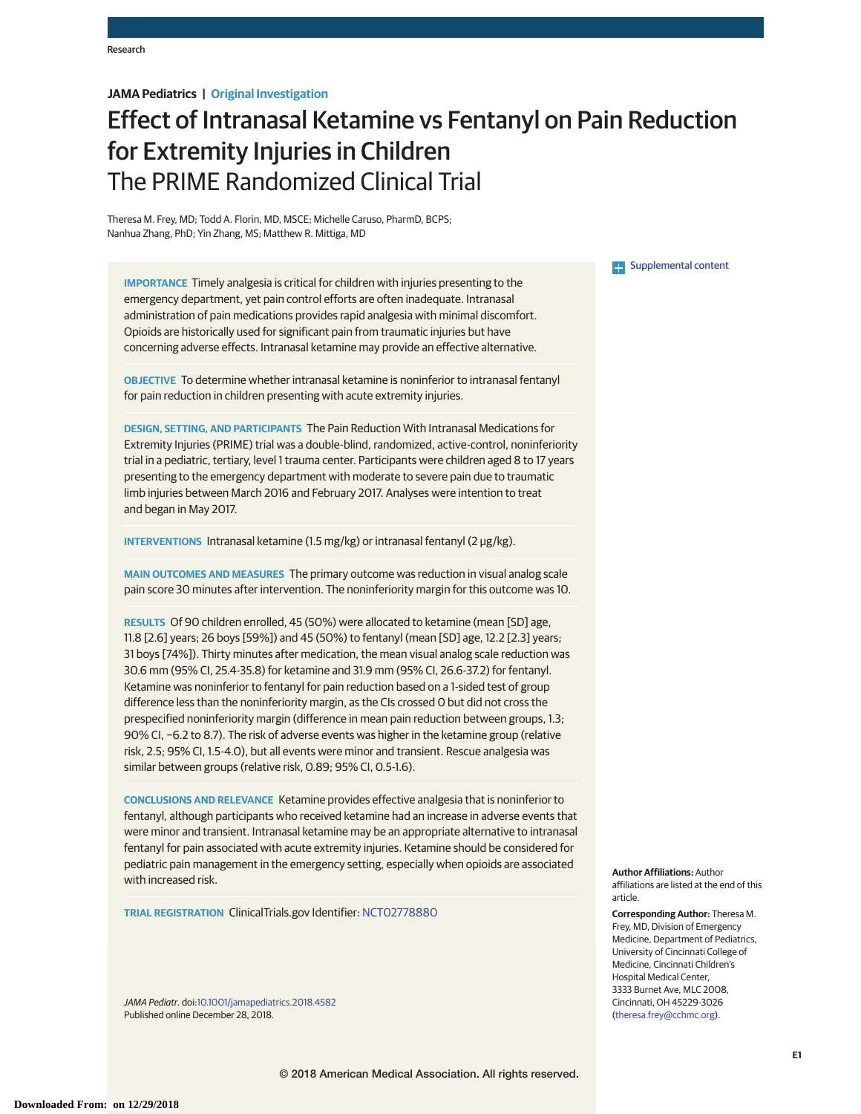#### **JAMA Pediatrics | Original Investigation**

### Effect of Intranasal Ketamine vs Fentanyl on Pain Reduction for Extremity Injuries in Children The PRIME Randomized Clinical Trial

Theresa M. Frey, MD; Todd A. Florin, MD, MSCE; Michelle Caruso, PharmD, BCPS; Nanhua Zhang, PhD; Yin Zhang, MS; Matthew R. Mittiga, MD

**IMPORTANCE** Timely analgesia is critical for children with injuries presenting to the emergency department, yet pain control efforts are often inadequate. Intranasal administration of pain medications provides rapid analgesia with minimal discomfort. Opioids are historically used for significant pain from traumatic injuries but have concerning adverse effects. Intranasal ketamine may provide an effective alternative.

**OBJECTIVE** To determine whether intranasal ketamine is noninferior to intranasal fentanyl for pain reduction in children presenting with acute extremity injuries.

**DESIGN, SETTING, AND PARTICIPANTS** The Pain Reduction With Intranasal Medications for Extremity Injuries (PRIME) trial was a double-blind, randomized, active-control, noninferiority trial in a pediatric, tertiary, level 1 trauma center. Participants were children aged 8 to 17 years presenting to the emergency department with moderate to severe pain due to traumatic limb injuries between March 2016 and February 2017. Analyses were intention to treat and began in May 2017.

**INTERVENTIONS** Intranasal ketamine (1.5 mg/kg) or intranasal fentanyl (2 μg/kg).

**MAIN OUTCOMES AND MEASURES** The primary outcome was reduction in visual analog scale pain score 30 minutes after intervention. The noninferiority margin for this outcome was 10.

**RESULTS** Of 90 children enrolled, 45 (50%) were allocated to ketamine (mean [SD] age, 11.8 [2.6] years; 26 boys [59%]) and 45 (50%) to fentanyl (mean [SD] age, 12.2 [2.3] years; 31 boys [74%]). Thirty minutes after medication, the mean visual analog scale reduction was 30.6 mm (95% CI, 25.4-35.8) for ketamine and 31.9 mm (95% CI, 26.6-37.2) for fentanyl. Ketamine was noninferior to fentanyl for pain reduction based on a 1-sided test of group difference less than the noninferiority margin, as the CIs crossed 0 but did not cross the prespecified noninferiority margin (difference in mean pain reduction between groups, 1.3; 90% CI, -6.2 to 8.7). The risk of adverse events was higher in the ketamine group (relative risk, 2.5; 95% CI, 1.5-4.0), but all events were minor and transient. Rescue analgesia was similar between groups (relative risk, 0.89; 95% CI, 0.5-1.6).

**CONCLUSIONS AND RELEVANCE** Ketamine provides effective analgesia that is noninferior to fentanyl, although participants who received ketamine had an increase in adverse events that were minor and transient. Intranasal ketamine may be an appropriate alternative to intranasal fentanyl for pain associated with acute extremity injuries. Ketamine should be considered for pediatric pain management in the emergency setting, especially when opioids are associated with increased risk.

**TRIAL REGISTRATION** ClinicalTrials.gov Identifier: [NCT02778880](https://clinicaltrials.gov/ct2/show/NCT02778880)

JAMA Pediatr. doi[:10.1001/jamapediatrics.2018.4582](https://jama.jamanetwork.com/article.aspx?doi=10.1001/jamapediatrics.2018.4582&utm_campaign=articlePDF%26utm_medium=articlePDFlink%26utm_source=articlePDF%26utm_content=jamapediatrics.2018.4582) Published online December 28, 2018.

#### **Examplemental content**

**Author Affiliations:** Author affiliations are listed at the end of this article.

**Corresponding Author:** Theresa M. Frey, MD, Division of Emergency Medicine, Department of Pediatrics, University of Cincinnati College of Medicine, Cincinnati Children's Hospital Medical Center, 3333 Burnet Ave, MLC 2008, Cincinnati, OH 45229-3026 [\(theresa.frey@cchmc.org\)](mailto:theresa.frey@cchmc.org).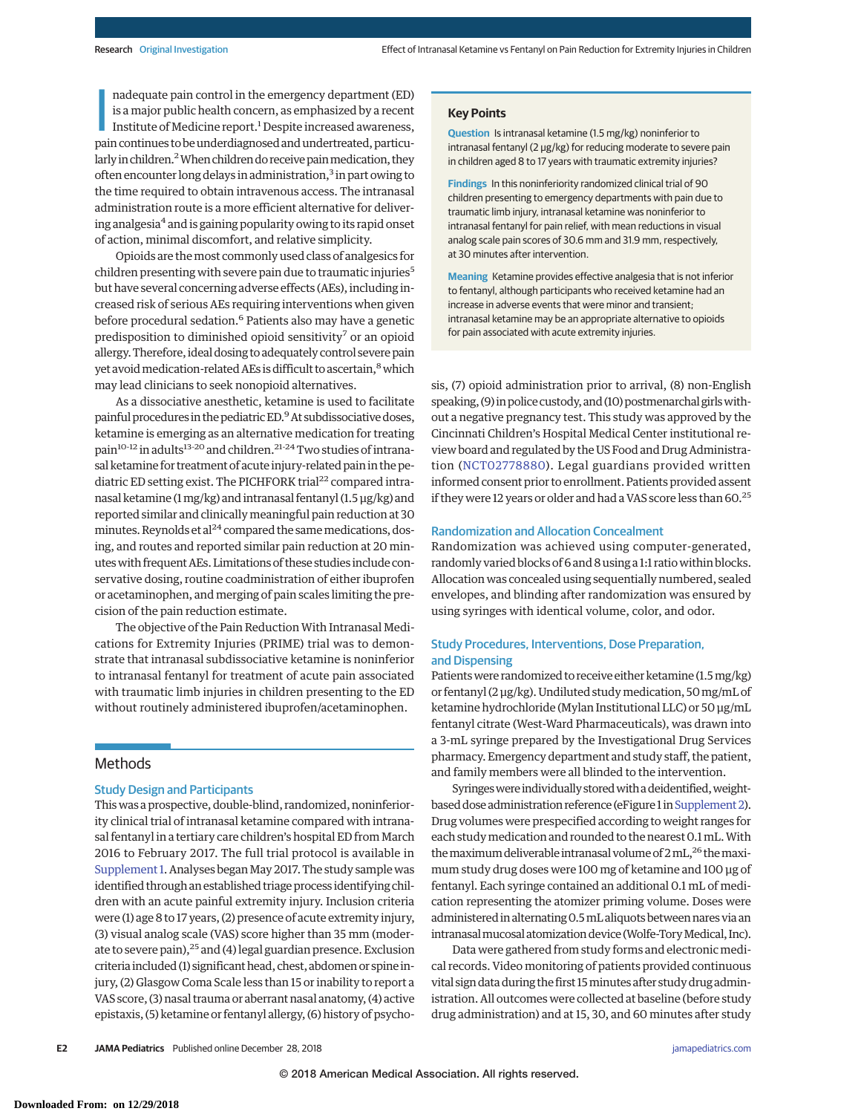nadequate pain control in the emergency department (ED) is a major public health concern, as emphasized by a recent Institute of Medicine report.<sup>1</sup> Despite increased awareness, pain continues to be underdiagnosed and unde nadequate pain control in the emergency department (ED) is a major public health concern, as emphasized by a recent Institute of Medicine report.<sup>1</sup> Despite increased awareness, larly in children.<sup>2</sup> When children do receive pain medication, they often encounter long delays in administration,<sup>3</sup> in part owing to the time required to obtain intravenous access. The intranasal administration route is a more efficient alternative for delivering analgesia<sup>4</sup> and is gaining popularity owing to its rapid onset of action, minimal discomfort, and relative simplicity.

Opioids are themost commonly used class of analgesics for children presenting with severe pain due to traumatic injuries<sup>5</sup> but have several concerning adverse effects (AEs), including increased risk of serious AEs requiring interventions when given before procedural sedation.<sup>6</sup> Patients also may have a genetic predisposition to diminished opioid sensitivity<sup>7</sup> or an opioid allergy.Therefore, ideal dosing to adequately control severe pain yet avoid medication-related AEs is difficult to ascertain,<sup>8</sup> which may lead clinicians to seek nonopioid alternatives.

As a dissociative anesthetic, ketamine is used to facilitate painful procedures in the pediatric ED.<sup>9</sup> At subdissociative doses, ketamine is emerging as an alternative medication for treating pain<sup>10-12</sup> in adults<sup>13-20</sup> and children.<sup>21-24</sup> Two studies of intranasal ketamine for treatment of acute injury-related pain in the pediatric ED setting exist. The PICHFORK trial<sup>22</sup> compared intranasal ketamine (1mg/kg) and intranasal fentanyl (1.5 μg/kg) and reported similar and clinicallymeaningful pain reduction at 30 minutes. Reynolds et  $al^{24}$  compared the same medications, dosing, and routes and reported similar pain reduction at 20 minutes with frequent AEs. Limitations of these studies include conservative dosing, routine coadministration of either ibuprofen or acetaminophen, andmerging of pain scales limiting the precision of the pain reduction estimate.

The objective of the Pain Reduction With Intranasal Medications for Extremity Injuries (PRIME) trial was to demonstrate that intranasal subdissociative ketamine is noninferior to intranasal fentanyl for treatment of acute pain associated with traumatic limb injuries in children presenting to the ED without routinely administered ibuprofen/acetaminophen.

#### Methods

#### Study Design and Participants

This was a prospective, double-blind, randomized, noninferiority clinical trial of intranasal ketamine compared with intranasal fentanyl in a tertiary care children's hospital ED from March 2016 to February 2017. The full trial protocol is available in [Supplement 1.](https://jama.jamanetwork.com/article.aspx?doi=10.1001/jamapediatrics.2018.4582&utm_campaign=articlePDF%26utm_medium=articlePDFlink%26utm_source=articlePDF%26utm_content=jamapediatrics.2018.4582) Analyses began May 2017. The study sample was identified through an established triage process identifying children with an acute painful extremity injury. Inclusion criteria were (1) age 8 to 17 years, (2) presence of acute extremity injury, (3) visual analog scale (VAS) score higher than 35 mm (moderate to severe pain),<sup>25</sup> and (4) legal guardian presence. Exclusion criteria included (1) significant head, chest, abdomen or spine injury, (2) Glasgow Coma Scale less than 15 or inability to report a VAS score, (3) nasal trauma or aberrant nasal anatomy, (4) active epistaxis, (5) ketamine or fentanyl allergy, (6) history of psycho**Question** Is intranasal ketamine (1.5 mg/kg) noninferior to intranasal fentanyl (2 μg/kg) for reducing moderate to severe pain in children aged 8 to 17 years with traumatic extremity injuries?

**Findings** In this noninferiority randomized clinical trial of 90 children presenting to emergency departments with pain due to traumatic limb injury, intranasal ketamine was noninferior to intranasal fentanyl for pain relief, with mean reductions in visual analog scale pain scores of 30.6 mm and 31.9 mm, respectively, at 30 minutes after intervention.

**Meaning** Ketamine provides effective analgesia that is not inferior to fentanyl, although participants who received ketamine had an increase in adverse events that were minor and transient; intranasal ketamine may be an appropriate alternative to opioids for pain associated with acute extremity injuries.

sis, (7) opioid administration prior to arrival, (8) non-English speaking, (9) in police custody, and (10) postmenarchal girls without a negative pregnancy test. This study was approved by the Cincinnati Children's Hospital Medical Center institutional review board and regulated by the US Food and Drug Administration [\(NCT02778880\)](https://clinicaltrials.gov/ct2/show/NCT02778880). Legal guardians provided written informed consent prior to enrollment. Patients provided assent if they were 12 years or older and had a VAS score less than 60.25

#### Randomization and Allocation Concealment

Randomization was achieved using computer-generated, randomly varied blocks of 6 and 8 using a 1:1 ratiowithin blocks. Allocation was concealed using sequentially numbered, sealed envelopes, and blinding after randomization was ensured by using syringes with identical volume, color, and odor.

#### Study Procedures, Interventions, Dose Preparation, and Dispensing

Patients were randomized to receive either ketamine (1.5 mg/kg) or fentanyl (2 μg/kg). Undiluted studymedication, 50mg/mL of ketamine hydrochloride (Mylan Institutional LLC) or 50 μg/mL fentanyl citrate (West-Ward Pharmaceuticals), was drawn into a 3-mL syringe prepared by the Investigational Drug Services pharmacy. Emergency department and study staff, the patient, and family members were all blinded to the intervention.

Syringes were individually stored with a deidentified, weightbased dose administration reference (eFigure 1 in Supplement 2). Drug volumes were prespecified according to weight ranges for each studymedication and rounded to the nearest 0.1mL.With the maximum deliverable intranasal volume of  $2 \text{ mL}$ ,<sup>26</sup> the maximum study drug doses were 100 mg of ketamine and 100 μg of fentanyl. Each syringe contained an additional 0.1 mL of medication representing the atomizer priming volume. Doses were administered in alternating 0.5 mL aliquots between nares via an intranasal mucosal atomization device (Wolfe-Tory Medical, Inc).

Data were gathered from study forms and electronic medical records. Video monitoring of patients provided continuous vital sign data during the first 15minutes after study drug administration. All outcomes were collected at baseline (before study drug administration) and at 15, 30, and 60 minutes after study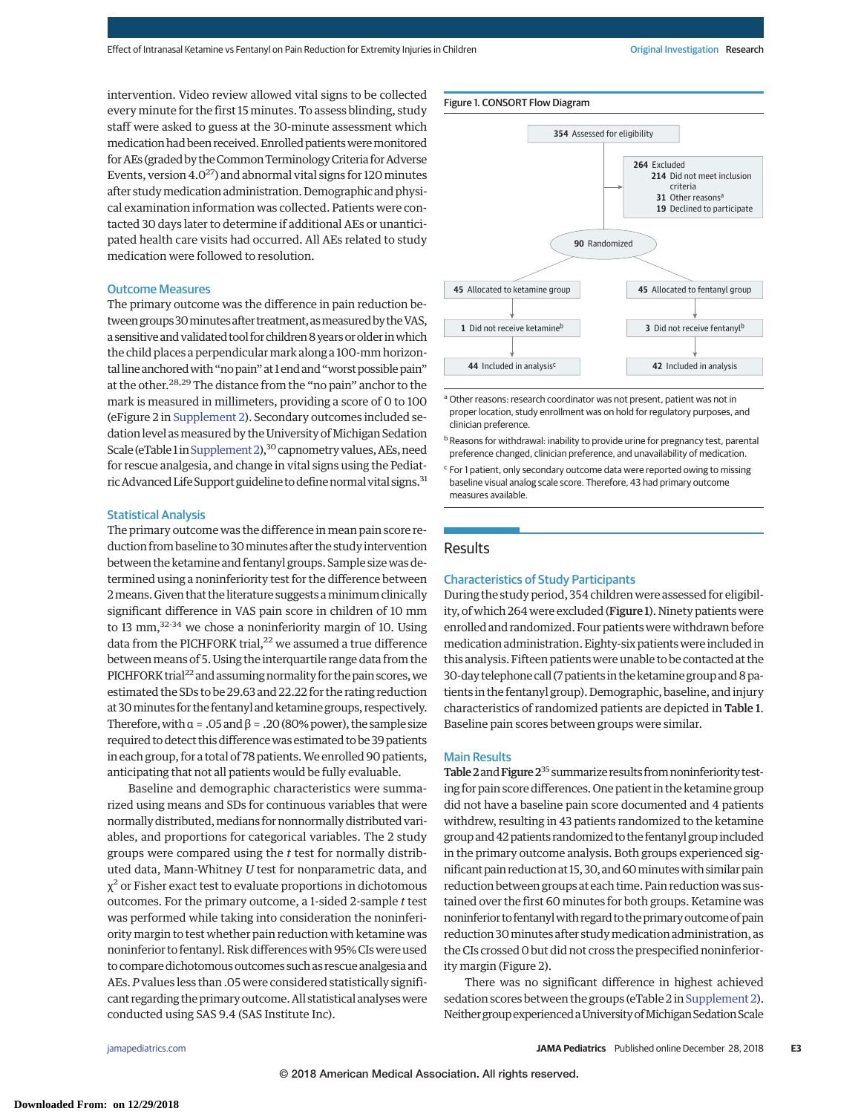intervention. Video review allowed vital signs to be collected every minute for the first 15 minutes. To assess blinding, study staff were asked to guess at the 30-minute assessment which medication had been received. Enrolled patients were monitored for AEs (graded by the Common Terminology Criteria for Adverse Events, version  $4.0^{27}$ ) and abnormal vital signs for 120 minutes after studymedication administration. Demographic and physical examination information was collected. Patients were contacted 30 days later to determine if additional AEs or unanticipated health care visits had occurred. All AEs related to study medication were followed to resolution.

#### Outcome Measures

The primary outcome was the difference in pain reduction between groups 30 minutes after treatment, as measured by the VAS, a sensitive and validated tool for children 8 years or older in which the child places a perpendicular mark along a 100-mm horizontal line anchored with "no pain" at 1 end and "worst possible pain" at the other.<sup>28,29</sup> The distance from the "no pain" anchor to the mark is measured in millimeters, providing a score of 0 to 100 (eFigure 2 in [Supplement 2\)](https://jama.jamanetwork.com/article.aspx?doi=10.1001/jamapediatrics.2018.4582&utm_campaign=articlePDF%26utm_medium=articlePDFlink%26utm_source=articlePDF%26utm_content=jamapediatrics.2018.4582). Secondary outcomes included sedation level as measured by the University of Michigan Sedation Scale (eTable 1 in [Supplement 2\)](https://jama.jamanetwork.com/article.aspx?doi=10.1001/jamapediatrics.2018.4582&utm_campaign=articlePDF%26utm_medium=articlePDFlink%26utm_source=articlePDF%26utm_content=jamapediatrics.2018.4582),<sup>30</sup> capnometry values, AEs, need for rescue analgesia, and change in vital signs using the Pediatric Advanced Life Support guideline to define normal vital signs.<sup>31</sup>

#### Statistical Analysis

The primary outcome was the difference in mean pain score reduction from baseline to 30minutes after the study intervention between the ketamine and fentanyl groups. Sample sizewas determined using a noninferiority test for the difference between 2means. Given that the literature suggests aminimum clinically significant difference in VAS pain score in children of 10 mm to 13 mm,<sup>32-34</sup> we chose a noninferiority margin of 10. Using data from the PICHFORK trial,<sup>22</sup> we assumed a true difference between means of 5. Using the interquartile range data from the PICHFORK trial<sup>22</sup> and assuming normality for the pain scores, we estimated the SDs to be 29.63 and 22.22 for the rating reduction at 30minutes for the fentanyl and ketamine groups, respectively. Therefore, with  $\alpha = 0.05$  and  $\beta = 0.20$  (80% power), the sample size required to detect this differencewas estimated to be 39 patients in each group, for a total of 78 patients. We enrolled 90 patients, anticipating that not all patients would be fully evaluable.

Baseline and demographic characteristics were summarized using means and SDs for continuous variables that were normally distributed, medians for nonnormally distributed variables, and proportions for categorical variables. The 2 study groups were compared using the *t* test for normally distributed data, Mann-Whitney *U* test for nonparametric data, and  $\chi^2$  or Fisher exact test to evaluate proportions in dichotomous outcomes. For the primary outcome, a 1-sided 2-sample *t* test was performed while taking into consideration the noninferioritymargin to test whether pain reduction with ketamine was noninferior to fentanyl. Risk differences with 95% CIs were used to compare dichotomous outcomes such as rescue analgesia and AEs.*P*values less than .05 were considered statistically significant regarding the primary outcome. All statistical analyseswere conducted using SAS 9.4 (SAS Institute Inc).



a Other reasons: research coordinator was not present, patient was not in proper location, study enrollment was on hold for regulatory purposes, and clinician preference.

<sup>b</sup> Reasons for withdrawal: inability to provide urine for pregnancy test, parental preference changed, clinician preference, and unavailability of medication.

<sup>c</sup> For 1 patient, only secondary outcome data were reported owing to missing baseline visual analog scale score. Therefore, 43 had primary outcome measures available.

#### Results

#### Characteristics of Study Participants

During the study period, 354 children were assessed for eligibility, of which 264 were excluded (Figure 1). Ninety patients were enrolled and randomized. Four patients were withdrawn before medication administration. Eighty-six patientswere included in this analysis. Fifteen patientswere unable to be contacted at the 30-day telephone call (7 patients in the ketamine group and 8 patients in the fentanyl group). Demographic, baseline, and injury characteristics of randomized patients are depicted in Table 1. Baseline pain scores between groups were similar.

#### Main Results

Table 2 and Figure 2<sup>35</sup> summarize results from noninferiority testing for pain score differences. One patient in the ketamine group did not have a baseline pain score documented and 4 patients withdrew, resulting in 43 patients randomized to the ketamine group and42patients randomized to the fentanyl group included in the primary outcome analysis. Both groups experienced significant pain reduction at 15, 30, and 60 minutes with similar pain reduction between groups at each time. Pain reduction was sustained over the first 60 minutes for both groups. Ketamine was noninferior to fentanyl with regard to the primary outcome of pain reduction 30 minutes after study medication administration, as the CIs crossed 0 but did not cross the prespecified noninferiority margin (Figure 2).

There was no significant difference in highest achieved sedation scores between the groups (eTable 2 in [Supplement 2\)](https://jama.jamanetwork.com/article.aspx?doi=10.1001/jamapediatrics.2018.4582&utm_campaign=articlePDF%26utm_medium=articlePDFlink%26utm_source=articlePDF%26utm_content=jamapediatrics.2018.4582). Neither group experienced a University of Michigan Sedation Scale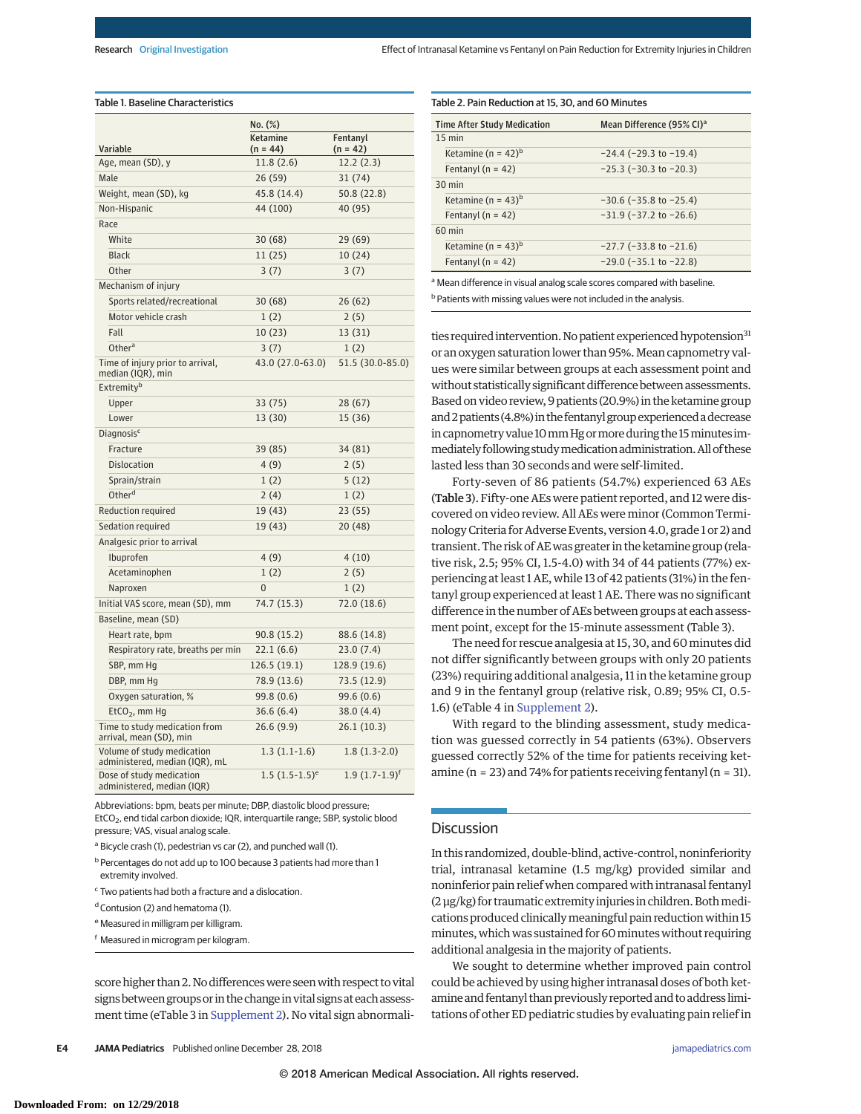| Table 1. Baseline Characteristics |
|-----------------------------------|
|-----------------------------------|

|                                                              | No. (%)                       |                        |
|--------------------------------------------------------------|-------------------------------|------------------------|
| Variable                                                     | <b>Ketamine</b><br>$(n = 44)$ | Fentanyl<br>$(n = 42)$ |
| Age, mean (SD), y                                            | 11.8(2.6)                     | 12.2(2.3)              |
| Male                                                         | 26 (59)                       | 31 (74)                |
| Weight, mean (SD), kg                                        | 45.8 (14.4)                   | 50.8(22.8)             |
| Non-Hispanic                                                 | 44 (100)                      | 40 (95)                |
| Race                                                         |                               |                        |
| White                                                        | 30(68)                        | 29 (69)                |
| <b>Black</b>                                                 | 11(25)                        | 10(24)                 |
| Other                                                        | 3(7)                          | 3(7)                   |
| Mechanism of injury                                          |                               |                        |
| Sports related/recreational                                  | 30(68)                        | 26(62)                 |
| Motor vehicle crash                                          | 1(2)                          | 2(5)                   |
| Fall                                                         | 10(23)                        | 13 (31)                |
| Other <sup>a</sup>                                           | 3(7)                          | 1(2)                   |
| Time of injury prior to arrival,<br>median (IQR), min        | 43.0 (27.0-63.0)              | 51.5 (30.0-85.0)       |
| Extremity <sup>b</sup>                                       |                               |                        |
| Upper                                                        | 33 (75)                       | 28(67)                 |
| Lower                                                        | 13 (30)                       | 15 (36)                |
| Diagnosis <sup>c</sup>                                       |                               |                        |
| Fracture                                                     | 39 (85)                       | 34 (81)                |
| <b>Dislocation</b>                                           | 4(9)                          | 2(5)                   |
| Sprain/strain                                                | 1(2)                          | 5(12)                  |
| Other <sup>d</sup>                                           | 2(4)                          | 1(2)                   |
| Reduction required                                           | 19 (43)                       | 23(55)                 |
| Sedation required                                            | 19 (43)                       | 20(48)                 |
| Analgesic prior to arrival                                   |                               |                        |
| Ibuprofen                                                    | 4(9)                          | 4(10)                  |
| Acetaminophen                                                | 1(2)                          | 2(5)                   |
| Naproxen                                                     | $\Omega$                      | 1(2)                   |
| Initial VAS score, mean (SD), mm                             | 74.7 (15.3)                   | 72.0 (18.6)            |
| Baseline, mean (SD)                                          |                               |                        |
| Heart rate, bpm                                              | 90.8 (15.2)                   | 88.6 (14.8)            |
| Respiratory rate, breaths per min                            | 22.1(6.6)                     | 23.0(7.4)              |
| SBP, mm Hq                                                   | 126.5 (19.1)                  | 128.9 (19.6)           |
| DBP, mm Hg                                                   | 78.9 (13.6)                   | 73.5 (12.9)            |
| Oxygen saturation, %                                         | 99.8 (0.6)                    | 99.6(0.6)              |
| $EtCO2$ , mm Hg                                              | 36.6(6.4)                     | 38.0(4.4)              |
| Time to study medication from<br>arrival, mean (SD), min     | 26.6(9.9)                     | 26.1 (10.3)            |
| Volume of study medication<br>administered, median (IQR), mL | $1.3(1.1-1.6)$                | $1.8(1.3-2.0)$         |
| Dose of study medication<br>administered, median (IQR)       | $1.5(1.5-1.5)^e$              | $1.9(1.7-1.9)^f$       |

Abbreviations: bpm, beats per minute; DBP, diastolic blood pressure; EtCO<sub>2</sub>, end tidal carbon dioxide; IQR, interquartile range; SBP, systolic blood pressure; VAS, visual analog scale.

<sup>a</sup> Bicycle crash (1), pedestrian vs car (2), and punched wall (1).

- <sup>b</sup> Percentages do not add up to 100 because 3 patients had more than 1 extremity involved.
- <sup>c</sup> Two patients had both a fracture and a dislocation.
- <sup>d</sup> Contusion (2) and hematoma (1).
- <sup>e</sup> Measured in milligram per killigram.
- <sup>f</sup> Measured in microgram per kilogram.

score higher than 2. No differences were seen with respect to vital signs between groups or in the change in vital signs at each assessment time (eTable 3 in [Supplement 2\)](https://jama.jamanetwork.com/article.aspx?doi=10.1001/jamapediatrics.2018.4582&utm_campaign=articlePDF%26utm_medium=articlePDFlink%26utm_source=articlePDF%26utm_content=jamapediatrics.2018.4582). No vital sign abnormali-

| <b>Time After Study Medication</b> | Mean Difference (95% CI) <sup>a</sup> |
|------------------------------------|---------------------------------------|
| $15 \text{ min}$                   |                                       |
| Ketamine (n = $42$ ) <sup>b</sup>  | $-24.4$ ( $-29.3$ to $-19.4$ )        |
| Fentanyl $(n = 42)$                | $-25.3$ ( $-30.3$ to $-20.3$ )        |
| $30 \text{ min}$                   |                                       |
| Ketamine (n = $43$ ) <sup>b</sup>  | $-30.6$ ( $-35.8$ to $-25.4$ )        |
| Fentanyl ( $n = 42$ )              | $-31.9$ ( $-37.2$ to $-26.6$ )        |
| $60$ min                           |                                       |
| Ketamine (n = $43$ ) <sup>b</sup>  | $-27.7$ ( $-33.8$ to $-21.6$ )        |
| Fentanyl ( $n = 42$ )              | $-29.0$ ( $-35.1$ to $-22.8$ )        |

<sup>a</sup> Mean difference in visual analog scale scores compared with baseline.

b Patients with missing values were not included in the analysis.

ties required intervention. No patient experienced hypotension<sup>31</sup> or an oxygen saturation lower than 95%.Mean capnometry values were similar between groups at each assessment point and without statistically significant difference between assessments. Based on video review, 9 patients (20.9%) in the ketamine group and 2 patients (4.8%) in the fentanyl group experienced a decrease in capnometry value 10 mm Hg or more during the 15 minutes immediately following study medication administration. All of these lasted less than 30 seconds and were self-limited.

Forty-seven of 86 patients (54.7%) experienced 63 AEs (Table 3). Fifty-one AEs were patient reported, and 12 were discovered on video review. All AEs were minor (Common Terminology Criteria for Adverse Events, version 4.0, grade 1 or 2) and transient. The risk of AEwas greater in the ketamine group (relative risk, 2.5; 95% CI, 1.5-4.0) with 34 of 44 patients (77%) experiencing at least 1 AE, while 13 of 42 patients (31%) in the fentanyl group experienced at least 1 AE. There was no significant difference in the number of AEs between groups at each assessment point, except for the 15-minute assessment (Table 3).

The need for rescue analgesia at 15, 30, and 60 minutes did not differ significantly between groups with only 20 patients (23%) requiring additional analgesia, 11 in the ketamine group and 9 in the fentanyl group (relative risk, 0.89; 95% CI, 0.5- 1.6) (eTable 4 in [Supplement 2\)](https://jama.jamanetwork.com/article.aspx?doi=10.1001/jamapediatrics.2018.4582&utm_campaign=articlePDF%26utm_medium=articlePDFlink%26utm_source=articlePDF%26utm_content=jamapediatrics.2018.4582).

With regard to the blinding assessment, study medication was guessed correctly in 54 patients (63%). Observers guessed correctly 52% of the time for patients receiving ketamine ( $n = 23$ ) and 74% for patients receiving fentanyl ( $n = 31$ ).

#### Discussion

In this randomized, double-blind, active-control, noninferiority trial, intranasal ketamine (1.5 mg/kg) provided similar and noninferior pain relief when compared with intranasal fentanyl  $(2 \mu g/kg)$  for traumatic extremity injuries in children. Both medications produced clinically meaningful pain reduction within 15 minutes, which was sustained for 60 minutes without requiring additional analgesia in the majority of patients.

We sought to determine whether improved pain control could be achieved by using higher intranasal doses of both ketamine and fentanyl than previously reported and to address limitations of other ED pediatric studies by evaluating pain relief in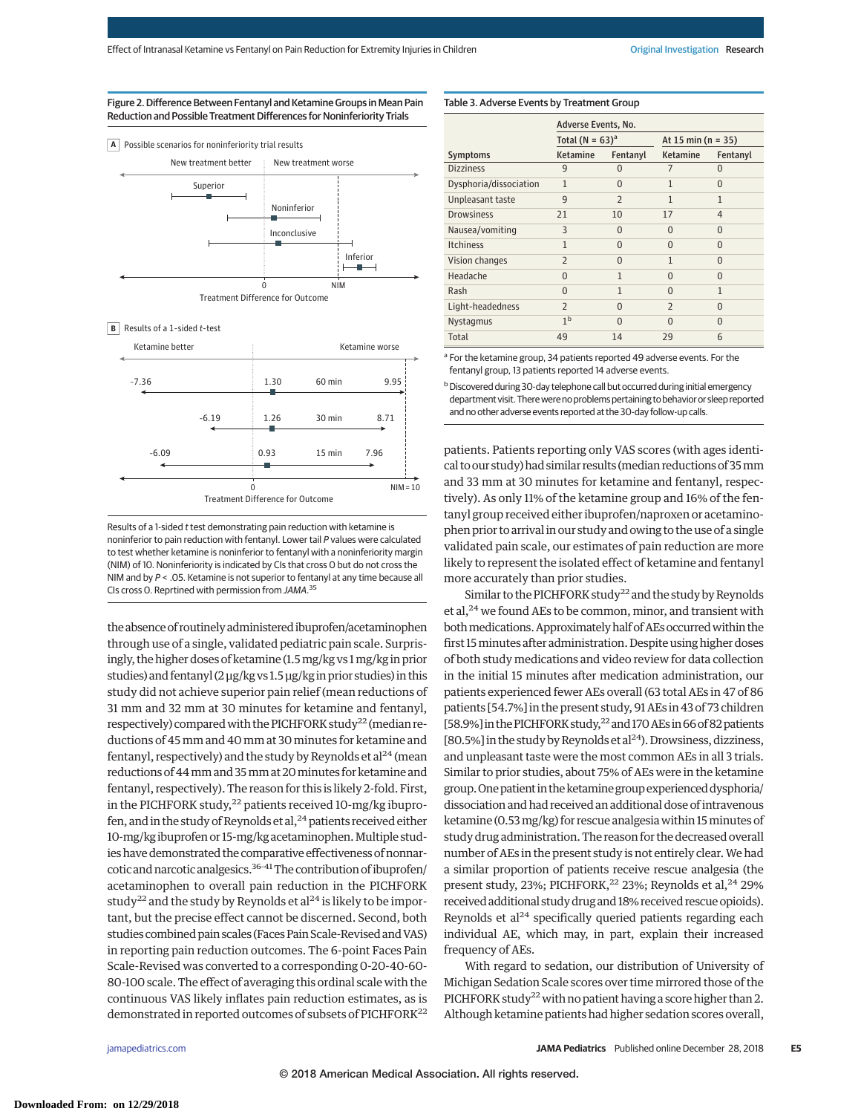#### Figure 2. Difference Between Fentanyl and Ketamine Groups in Mean Pain Reduction and Possible Treatment Differences for Noninferiority Trials





#### **B** Results of a 1-sided *t*-test

| Ketamine better |         |                                         |          | Ketamine worse |  |
|-----------------|---------|-----------------------------------------|----------|----------------|--|
| $-7.36$         |         | 1.30                                    | 60 min   | 9.95           |  |
|                 | $-6.19$ | 1.26                                    | 30 min   | 8.71           |  |
| $-6.09$         |         | 0.93                                    | $15$ min | 7.96           |  |
|                 |         | <b>Treatment Difference for Outcome</b> |          | $NIM = 10$     |  |

Results of a 1-sided t test demonstrating pain reduction with ketamine is noninferior to pain reduction with fentanyl. Lower tail P values were calculated to test whether ketamine is noninferior to fentanyl with a noninferiority margin (NIM) of 10. Noninferiority is indicated by CIs that cross 0 but do not cross the NIM and by P < .05. Ketamine is not superior to fentanyl at any time because all CIs cross O. Reprtined with permission from JAMA.<sup>35</sup>

the absence of routinely administered ibuprofen/acetaminophen through use of a single, validated pediatric pain scale. Surprisingly, the higher doses of ketamine (1.5mg/kg vs 1mg/kg in prior studies) and fentanyl (2 μg/kg vs 1.5 μg/kg in prior studies) in this study did not achieve superior pain relief (mean reductions of 31 mm and 32 mm at 30 minutes for ketamine and fentanyl, respectively) compared with the PICHFORK study<sup>22</sup> (median reductions of 45 mm and 40 mm at 30 minutes for ketamine and fentanyl, respectively) and the study by Reynolds et al<sup>24</sup> (mean reductions of 44mm and 35mm at 20minutes for ketamine and fentanyl, respectively). The reason for this is likely 2-fold. First, in the PICHFORK study, $^{22}$  patients received 10-mg/kg ibuprofen, and in the study of Reynolds et al,  $^{24}$  patients received either 10-mg/kg ibuprofen or 15-mg/kg acetaminophen. Multiple studies have demonstrated the comparative effectiveness of nonnarcotic and narcotic analgesics.<sup>36-41</sup> The contribution of ibuprofen/ acetaminophen to overall pain reduction in the PICHFORK study<sup>22</sup> and the study by Reynolds et al<sup>24</sup> is likely to be important, but the precise effect cannot be discerned. Second, both studies combined pain scales (Faces Pain Scale-Revised and VAS) in reporting pain reduction outcomes. The 6-point Faces Pain Scale-Revised was converted to a corresponding 0-20-40-60- 80-100 scale. The effect of averaging this ordinal scale with the continuous VAS likely inflates pain reduction estimates, as is demonstrated in reported outcomes of subsets of PICHFORK<sup>22</sup>

#### Table 3. Adverse Events by Treatment Group

|                        | Adverse Events, No.            |                |                        |              |  |  |
|------------------------|--------------------------------|----------------|------------------------|--------------|--|--|
|                        | Total (N = $63$ ) <sup>a</sup> |                | At 15 min ( $n = 35$ ) |              |  |  |
| Symptoms               | <b>Ketamine</b><br>Fentanyl    |                | <b>Ketamine</b>        | Fentanyl     |  |  |
| <b>Dizziness</b>       | 9                              | O              | 7                      | O            |  |  |
| Dysphoria/dissociation | $\mathbf{1}$                   | $\Omega$       | $\mathbf{1}$           | $\Omega$     |  |  |
| Unpleasant taste       | 9                              | $\overline{2}$ | $\mathbf{1}$           | $\mathbf{1}$ |  |  |
| <b>Drowsiness</b>      | 21                             | 10             | 17                     | 4            |  |  |
| Nausea/vomiting        | 3                              | $\Omega$       | $\Omega$               | $\Omega$     |  |  |
| <b>Itchiness</b>       | $\mathbf{1}$                   | $\Omega$       | $\Omega$               | $\Omega$     |  |  |
| Vision changes         | $\overline{2}$                 | $\Omega$       | $\mathbf{1}$           | $\Omega$     |  |  |
| Headache               | $\Omega$                       | $\mathbf{1}$   | $\Omega$               | $\Omega$     |  |  |
| Rash                   | $\Omega$                       | $\mathbf{1}$   | $\Omega$               | $\mathbf{1}$ |  |  |
| Light-headedness       | $\overline{2}$                 | $\Omega$       | $\overline{2}$         | $\Omega$     |  |  |
| Nystagmus              | 1 <sup>b</sup>                 | $\Omega$       | $\Omega$               | $\Omega$     |  |  |
| Total                  | 49                             | 14             | 29                     | 6            |  |  |

<sup>a</sup> For the ketamine group, 34 patients reported 49 adverse events. For the fentanyl group, 13 patients reported 14 adverse events.

b Discovered during 30-day telephone call but occurred during initial emergency department visit. There were no problems pertaining to behavior or sleep reported and no other adverse events reported at the 30-day follow-up calls.

patients. Patients reporting only VAS scores (with ages identical to our study)had similar results (median reductions of 35mm and 33 mm at 30 minutes for ketamine and fentanyl, respectively). As only 11% of the ketamine group and 16% of the fentanyl group received either ibuprofen/naproxen or acetaminophen prior to arrival in our study and owing to the use of a single validated pain scale, our estimates of pain reduction are more likely to represent the isolated effect of ketamine and fentanyl more accurately than prior studies.

Similar to the PICHFORK study<sup>22</sup> and the study by Reynolds et al, $24$  we found AEs to be common, minor, and transient with both medications. Approximately half of AEs occurred within the first 15 minutes after administration. Despite using higher doses of both study medications and video review for data collection in the initial 15 minutes after medication administration, our patients experienced fewer AEs overall (63 total AEs in 47 of 86 patients [54.7%] in the present study, 91 AEs in 43 of 73 children [58.9%] in the PICHFORK study,<sup>22</sup> and 170 AEs in 66 of 82 patients  $[80.5\%]$  in the study by Reynolds et al<sup>24</sup>). Drowsiness, dizziness, and unpleasant taste were the most common AEs in all 3 trials. Similar to prior studies, about 75% of AEs were in the ketamine group. One patient in the ketamine group experienced dysphoria/ dissociation and had received an additional dose of intravenous ketamine (0.53mg/kg) for rescue analgesia within 15minutes of study drug administration. The reason for the decreased overall number of AEs in the present study is not entirely clear. We had a similar proportion of patients receive rescue analgesia (the present study, 23%; PICHFORK,<sup>22</sup> 23%; Reynolds et al,<sup>24</sup> 29% received additional study drug and 18% received rescue opioids). Reynolds et  $al<sup>24</sup>$  specifically queried patients regarding each individual AE, which may, in part, explain their increased frequency of AEs.

With regard to sedation, our distribution of University of Michigan Sedation Scale scores over time mirrored those of the PICHFORK study<sup>22</sup> with no patient having a score higher than 2. Although ketamine patients had higher sedation scores overall,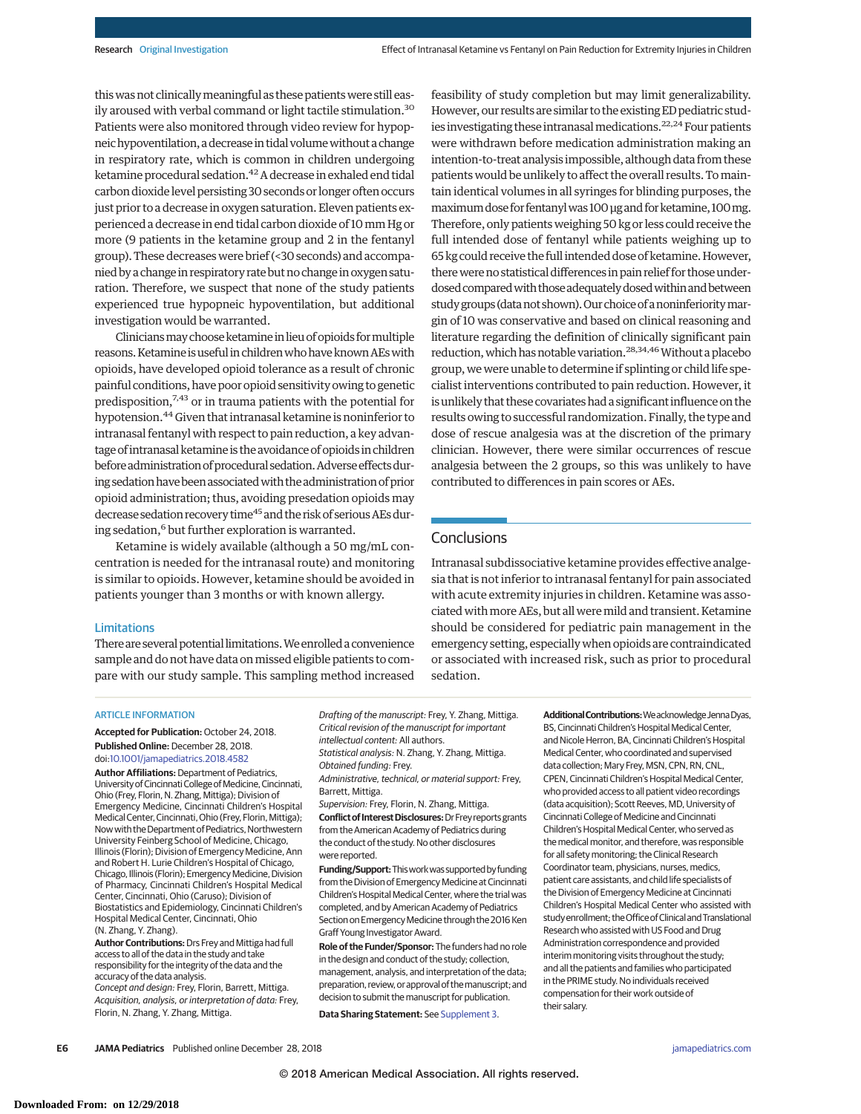this was not clinically meaningful as these patients were still easily aroused with verbal command or light tactile stimulation.<sup>30</sup> Patients were also monitored through video review for hypopneic hypoventilation, a decrease in tidal volume without a change in respiratory rate, which is common in children undergoing ketamine procedural sedation.<sup>42</sup> A decrease in exhaled end tidal carbon dioxide level persisting 30 seconds or longer often occurs just prior to a decrease in oxygen saturation. Eleven patients experienced a decrease in end tidal carbon dioxide of 10 mm Hg or more (9 patients in the ketamine group and 2 in the fentanyl group). These decreases were brief (<30 seconds) and accompanied by a change in respiratory rate but no change in oxygen saturation. Therefore, we suspect that none of the study patients experienced true hypopneic hypoventilation, but additional investigation would be warranted.

Cliniciansmaychooseketamine in lieuofopioids formultiple reasons.Ketamine isuseful inchildrenwhohaveknownAEswith opioids, have developed opioid tolerance as a result of chronic painful conditions, have poor opioid sensitivity owing to genetic predisposition, $7,43$  or in trauma patients with the potential for hypotension.<sup>44</sup> Given that intranasal ketamine is noninferior to intranasal fentanyl with respect to pain reduction, a key advantage of intranasal ketamine is the avoidance of opioids inchildren before administration of procedural sedation. Adverse effects during sedation have been associated with the administration of prior opioid administration; thus, avoiding presedation opioids may decrease sedation recovery time<sup>45</sup> and the risk of serious AEs during sedation, $6$  but further exploration is warranted.

Ketamine is widely available (although a 50 mg/mL concentration is needed for the intranasal route) and monitoring is similar to opioids. However, ketamine should be avoided in patients younger than 3 months or with known allergy.

#### Limitations

There are several potential limitations. We enrolled a convenience sample and do not have data on missed eligible patients to compare with our study sample. This sampling method increased feasibility of study completion but may limit generalizability. However, our results are similar to the existingED pediatric studies investigating these intranasal medications.<sup>22,24</sup> Four patients were withdrawn before medication administration making an intention-to-treat analysis impossible, although data from these patients would be unlikely to affect the overall results. Tomaintain identical volumes in all syringes for blinding purposes, the maximum dose for fentanyl was 100 μg and for ketamine, 100 mg. Therefore, only patientsweighing 50 kg or less could receive the full intended dose of fentanyl while patients weighing up to 65 kg could receive the full intended dose of ketamine.However, there were no statistical differences in pain relief for those underdosed compared with those adequately dosed within and between study groups (data not shown). Our choice of a noninferiority margin of 10 was conservative and based on clinical reasoning and literature regarding the definition of clinically significant pain reduction, which has notable variation.<sup>28,34,46</sup> Without a placebo group, we were unable to determine if splinting or child life specialist interventions contributed to pain reduction. However, it is unlikely that these covariates had a significant influence on the results owing to successful randomization. Finally, the type and dose of rescue analgesia was at the discretion of the primary clinician. However, there were similar occurrences of rescue analgesia between the 2 groups, so this was unlikely to have contributed to differences in pain scores or AEs.

#### **Conclusions**

Intranasal subdissociative ketamine provides effective analgesia that is not inferior to intranasal fentanyl for pain associated with acute extremity injuries in children. Ketamine was associated with more AEs, but all were mild and transient. Ketamine should be considered for pediatric pain management in the emergency setting, especiallywhen opioids are contraindicated or associated with increased risk, such as prior to procedural sedation.

#### ARTICLE INFORMATION

**Accepted for Publication:** October 24, 2018. **Published Online:** December 28, 2018. doi[:10.1001/jamapediatrics.2018.4582](https://jama.jamanetwork.com/article.aspx?doi=10.1001/jamapediatrics.2018.4582&utm_campaign=articlePDF%26utm_medium=articlePDFlink%26utm_source=articlePDF%26utm_content=jamapediatrics.2018.4582)

**Author Affiliations:** Department of Pediatrics, University of Cincinnati College of Medicine, Cincinnati, Ohio (Frey, Florin, N. Zhang, Mittiga); Division of Emergency Medicine, Cincinnati Children's Hospital Medical Center, Cincinnati, Ohio (Frey, Florin, Mittiga); Now with the Department of Pediatrics, Northwestern University Feinberg School of Medicine, Chicago, Illinois (Florin); Division of Emergency Medicine, Ann and Robert H. Lurie Children's Hospital of Chicago, Chicago, Illinois (Florin); Emergency Medicine, Division of Pharmacy, Cincinnati Children's Hospital Medical Center, Cincinnati, Ohio (Caruso); Division of Biostatistics and Epidemiology, Cincinnati Children's Hospital Medical Center, Cincinnati, Ohio (N. Zhang, Y. Zhang).

**Author Contributions:**Drs Frey and Mittiga had full access to all of the data in the study and take responsibility for the integrity of the data and the accuracy of the data analysis. Concept and design: Frey, Florin, Barrett, Mittiga. Acquisition, analysis, or interpretation of data: Frey, Florin, N. Zhang, Y. Zhang, Mittiga.

Drafting of the manuscript: Frey, Y. Zhang, Mittiga. Critical revision of the manuscript for important intellectual content: All authors. Statistical analysis: N. Zhang, Y. Zhang, Mittiga. Obtained funding: Frey. Administrative, technical, or material support: Frey,

Barrett, Mittiga.

Supervision: Frey, Florin, N. Zhang, Mittiga. **Conflict of Interest Disclosures:** Dr Frey reports grants from the American Academy of Pediatrics during

the conduct of the study. No other disclosures were reported.

**Funding/Support:**Thisworkwassupportedby funding from the Division of Emergency Medicine at Cincinnati Children's Hospital Medical Center, where the trial was completed, and by American Academy of Pediatrics Section on Emergency Medicine through the 2016 Ken Graff Young Investigator Award.

**Role of the Funder/Sponsor:** The funders had no role in the design and conduct of the study; collection, management, analysis, and interpretation of the data; preparation, review, or approval of the manuscript; and decision to submit the manuscript for publication.

**Data Sharing Statement:** See [Supplement 3.](https://jama.jamanetwork.com/article.aspx?doi=10.1001/jamapediatrics.2018.4582&utm_campaign=articlePDF%26utm_medium=articlePDFlink%26utm_source=articlePDF%26utm_content=jamapediatrics.2018.4582)

Additional Contributions: Weacknowledge Jenna Dyas, BS, Cincinnati Children's Hospital Medical Center, and Nicole Herron, BA, Cincinnati Children's Hospital Medical Center, who coordinated and supervised data collection; Mary Frey, MSN, CPN, RN, CNL, CPEN, Cincinnati Children's Hospital Medical Center, who provided access to all patient video recordings (data acquisition); Scott Reeves, MD, University of Cincinnati College of Medicine and Cincinnati Children's Hospital Medical Center, who served as the medical monitor, and therefore, was responsible for all safety monitoring; the Clinical Research Coordinator team, physicians, nurses, medics, patient care assistants, and child life specialists of the Division of Emergency Medicine at Cincinnati Children's Hospital Medical Center who assisted with study enrollment; the Office of Clinical and Translational Research who assisted with US Food and Drug Administration correspondence and provided interim monitoring visits throughout the study; and all the patients and families who participated in the PRIME study. No individuals received compensation for their work outside of their salary.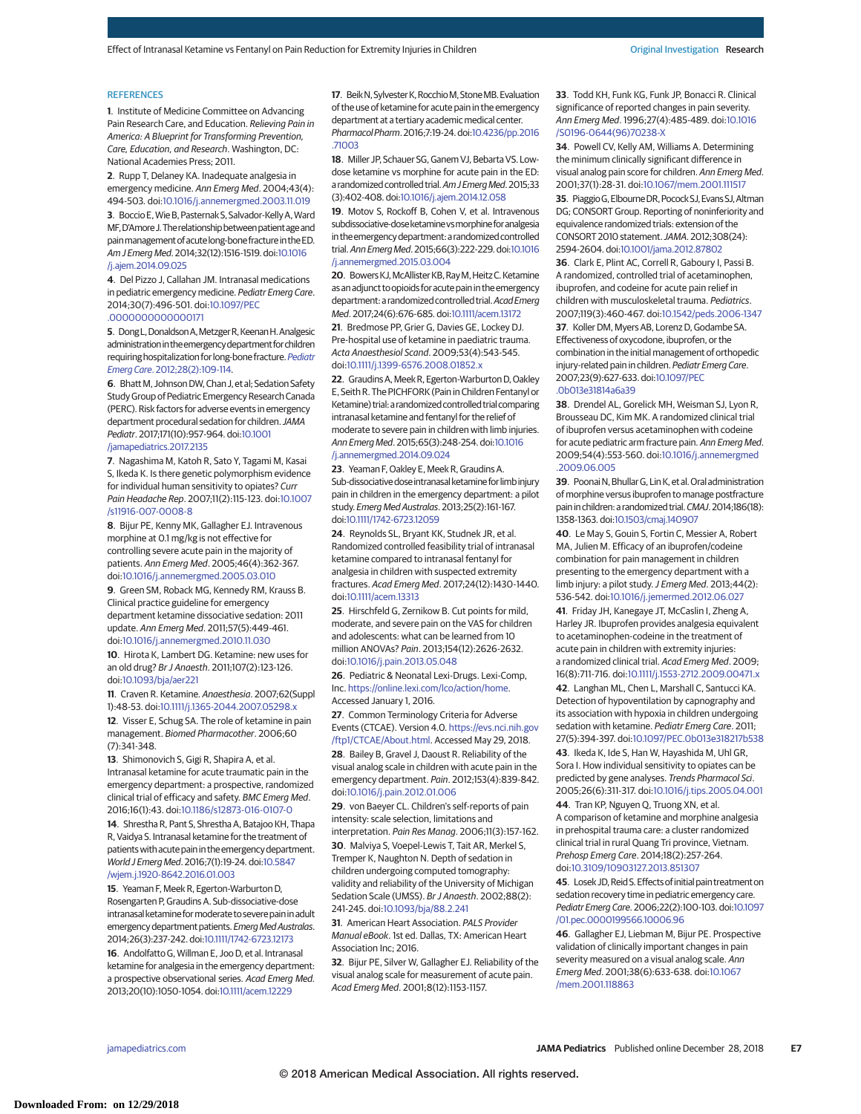#### **REFERENCES**

**1**. Institute of Medicine Committee on Advancing Pain Research Care, and Education. Relieving Pain in America: A Blueprint for Transforming Prevention, Care, Education, and Research. Washington, DC: National Academies Press; 2011.

**2**. Rupp T, Delaney KA. Inadequate analgesia in emergency medicine. Ann Emerg Med. 2004;43(4): 494-503. doi[:10.1016/j.annemergmed.2003.11.019](https://dx.doi.org/10.1016/j.annemergmed.2003.11.019)

**3**. Boccio E,WieB, PasternakS,Salvador-KellyA,Ward MF,D'AmoreJ.Therelationshipbetweenpatientageand pain management of acute long-bone fracture in the ED. Am J Emerg Med. 2014;32(12):1516-1519. doi[:10.1016](https://dx.doi.org/10.1016/j.ajem.2014.09.025) [/j.ajem.2014.09.025](https://dx.doi.org/10.1016/j.ajem.2014.09.025)

**4**. Del Pizzo J, Callahan JM. Intranasal medications in pediatric emergency medicine. Pediatr Emerg Care. 2014;30(7):496-501. doi[:10.1097/PEC](https://dx.doi.org/10.1097/PEC.0000000000000171) [.0000000000000171](https://dx.doi.org/10.1097/PEC.0000000000000171)

**5**. Dong L, Donaldson A, Metzger R, Keenan H. Analgesic administration in the emergency department for children requiring hospitalization for long-bone fracture. [Pediatr](https://www.ncbi.nlm.nih.gov/pubmed/22270501) Emerg Care[. 2012;28\(2\):109-114.](https://www.ncbi.nlm.nih.gov/pubmed/22270501)

**6**. Bhatt M, Johnson DW, Chan J, et al; Sedation Safety Study Group of Pediatric Emergency Research Canada (PERC). Risk factors for adverse events in emergency department procedural sedation for children.JAMA Pediatr. 2017;171(10):957-964. doi[:10.1001](https://jama.jamanetwork.com/article.aspx?doi=10.1001/jamapediatrics.2017.2135&utm_campaign=articlePDF%26utm_medium=articlePDFlink%26utm_source=articlePDF%26utm_content=jamapediatrics.2018.4582)

#### [/jamapediatrics.2017.2135](https://jama.jamanetwork.com/article.aspx?doi=10.1001/jamapediatrics.2017.2135&utm_campaign=articlePDF%26utm_medium=articlePDFlink%26utm_source=articlePDF%26utm_content=jamapediatrics.2018.4582)

**7**. Nagashima M, Katoh R, Sato Y, Tagami M, Kasai S, Ikeda K. Is there genetic polymorphism evidence for individual human sensitivity to opiates? Curr Pain Headache Rep. 2007;11(2):115-123. doi[:10.1007](https://dx.doi.org/10.1007/s11916-007-0008-8) [/s11916-007-0008-8](https://dx.doi.org/10.1007/s11916-007-0008-8)

**8**. Bijur PE, Kenny MK, Gallagher EJ. Intravenous morphine at 0.1 mg/kg is not effective for controlling severe acute pain in the majority of patients. Ann Emerg Med. 2005;46(4):362-367. doi[:10.1016/j.annemergmed.2005.03.010](https://dx.doi.org/10.1016/j.annemergmed.2005.03.010)

**9**. Green SM, Roback MG, Kennedy RM, Krauss B. Clinical practice guideline for emergency department ketamine dissociative sedation: 2011 update. Ann Emerg Med. 2011;57(5):449-461. doi[:10.1016/j.annemergmed.2010.11.030](https://dx.doi.org/10.1016/j.annemergmed.2010.11.030)

**10**. Hirota K, Lambert DG. Ketamine: new uses for an old drug? Br J Anaesth. 2011;107(2):123-126. doi[:10.1093/bja/aer221](https://dx.doi.org/10.1093/bja/aer221)

**11**. Craven R. Ketamine. Anaesthesia. 2007;62(Suppl 1):48-53. doi[:10.1111/j.1365-2044.2007.05298.x](https://dx.doi.org/10.1111/j.1365-2044.2007.05298.x) **12**. Visser E, Schug SA. The role of ketamine in pain

management. Biomed Pharmacother. 2006;60 (7):341-348. **13**. Shimonovich S, Gigi R, Shapira A, et al.

Intranasal ketamine for acute traumatic pain in the emergency department: a prospective, randomized clinical trial of efficacy and safety. BMC Emerg Med. 2016;16(1):43. doi[:10.1186/s12873-016-0107-0](https://dx.doi.org/10.1186/s12873-016-0107-0)

**14**. Shrestha R, Pant S, Shrestha A, Batajoo KH, Thapa R, Vaidya S. Intranasal ketamine for the treatment of patients with acute pain in the emergency department. World J Emerg Med. 2016;7(1):19-24. doi[:10.5847](https://dx.doi.org/10.5847/wjem.j.1920-8642.2016.01.003) [/wjem.j.1920-8642.2016.01.003](https://dx.doi.org/10.5847/wjem.j.1920-8642.2016.01.003)

**15**. Yeaman F, Meek R, Egerton-Warburton D, Rosengarten P, Graudins A. Sub-dissociative-dose intranasal ketamine for moderate to severe pain in adult emergency department patients. Emerg Med Australas. 2014;26(3):237-242. doi[:10.1111/1742-6723.12173](https://dx.doi.org/10.1111/1742-6723.12173) **16**. Andolfatto G, Willman E, Joo D, et al. Intranasal ketamine for analgesia in the emergency department:

a prospective observational series. Acad Emerg Med. 2013;20(10):1050-1054. doi[:10.1111/acem.12229](https://dx.doi.org/10.1111/acem.12229)

17. Beik N, Sylvester K, Rocchio M, Stone MB. Evaluation of the use of ketamine for acute pain in the emergency department at a tertiary academic medical center. Pharmacol Pharm. 2016;7:19-24. doi[:10.4236/pp.2016](https://dx.doi.org/10.4236/pp.2016.71003) [.71003](https://dx.doi.org/10.4236/pp.2016.71003)

**18**. Miller JP, Schauer SG, Ganem VJ, Bebarta VS. Lowdose ketamine vs morphine for acute pain in the ED: a randomized controlled trial. Am J Emerg Med. 2015;33 (3):402-408. doi[:10.1016/j.ajem.2014.12.058](https://dx.doi.org/10.1016/j.ajem.2014.12.058)

**19**. Motov S, Rockoff B, Cohen V, et al. Intravenous subdissociative-doseketaminevsmorphine foranalgesia in the emergency department: a randomized controlled trial.Ann Emerg Med. 2015;66(3):222-229. doi[:10.1016](https://dx.doi.org/10.1016/j.annemergmed.2015.03.004) [/j.annemergmed.2015.03.004](https://dx.doi.org/10.1016/j.annemergmed.2015.03.004)

20. Bowers KJ, McAllister KB, Ray M, Heitz C. Ketamine as an adjunct to opioids for acute pain in the emergency department: a randomized controlled trial. Acad Emerg Med. 2017;24(6):676-685. doi[:10.1111/acem.13172](https://dx.doi.org/10.1111/acem.13172)

**21**. Bredmose PP, Grier G, Davies GE, Lockey DJ. Pre-hospital use of ketamine in paediatric trauma. Acta Anaesthesiol Scand. 2009;53(4):543-545. doi[:10.1111/j.1399-6576.2008.01852.x](https://dx.doi.org/10.1111/j.1399-6576.2008.01852.x)

22. Graudins A, Meek R, Egerton-Warburton D, Oakley E, Seith R. The PICHFORK (Pain in Children Fentanyl or Ketamine) trial: a randomized controlled trial comparing intranasal ketamine and fentanyl for the relief of moderate to severe pain in children with limb injuries. Ann Emerg Med. 2015;65(3):248-254. doi[:10.1016](https://dx.doi.org/10.1016/j.annemergmed.2014.09.024) [/j.annemergmed.2014.09.024](https://dx.doi.org/10.1016/j.annemergmed.2014.09.024)

**23**. Yeaman F, Oakley E, Meek R, Graudins A. Sub-dissociative dose intranasal ketamine for limb injury pain in children in the emergency department: a pilot study. Emerg Med Australas. 2013;25(2):161-167. doi[:10.1111/1742-6723.12059](https://dx.doi.org/10.1111/1742-6723.12059)

**24**. Reynolds SL, Bryant KK, Studnek JR, et al. Randomized controlled feasibility trial of intranasal ketamine compared to intranasal fentanyl for analgesia in children with suspected extremity fractures. Acad Emerg Med. 2017;24(12):1430-1440. doi[:10.1111/acem.13313](https://dx.doi.org/10.1111/acem.13313)

**25**. Hirschfeld G, Zernikow B. Cut points for mild, moderate, and severe pain on the VAS for children and adolescents: what can be learned from 10 million ANOVAs? Pain. 2013;154(12):2626-2632. doi[:10.1016/j.pain.2013.05.048](https://dx.doi.org/10.1016/j.pain.2013.05.048)

**26**. Pediatric & Neonatal Lexi-Drugs. Lexi-Comp, Inc. [https://online.lexi.com/lco/action/home.](https://online.lexi.com/lco/action/home) Accessed January 1, 2016.

**27**. Common Terminology Criteria for Adverse Events (CTCAE). Version 4.0. [https://evs.nci.nih.gov](https://evs.nci.nih.gov/ftp1/CTCAE/About.html) [/ftp1/CTCAE/About.html.](https://evs.nci.nih.gov/ftp1/CTCAE/About.html) Accessed May 29, 2018. **28**. Bailey B, Gravel J, Daoust R. Reliability of the visual analog scale in children with acute pain in the emergency department. Pain. 2012;153(4):839-842. doi[:10.1016/j.pain.2012.01.006](https://dx.doi.org/10.1016/j.pain.2012.01.006)

**29**. von Baeyer CL. Children's self-reports of pain intensity: scale selection, limitations and interpretation. Pain Res Manag. 2006;11(3):157-162.

**30**. Malviya S, Voepel-Lewis T, Tait AR, Merkel S, Tremper K, Naughton N. Depth of sedation in children undergoing computed tomography: validity and reliability of the University of Michigan Sedation Scale (UMSS). Br J Anaesth. 2002;88(2): 241-245. doi[:10.1093/bja/88.2.241](https://dx.doi.org/10.1093/bja/88.2.241)

**31**. American Heart Association. PALS Provider Manual eBook. 1st ed. Dallas, TX: American Heart Association Inc; 2016.

**32**. Bijur PE, Silver W, Gallagher EJ. Reliability of the visual analog scale for measurement of acute pain. Acad Emerg Med. 2001;8(12):1153-1157.

**33**. Todd KH, Funk KG, Funk JP, Bonacci R. Clinical significance of reported changes in pain severity. Ann Emerg Med. 1996;27(4):485-489. doi[:10.1016](https://dx.doi.org/10.1016/S0196-0644(96)70238-X) [/S0196-0644\(96\)70238-X](https://dx.doi.org/10.1016/S0196-0644(96)70238-X)

**34**. Powell CV, Kelly AM, Williams A. Determining the minimum clinically significant difference in visual analog pain score for children. Ann Emerg Med. 2001;37(1):28-31. doi[:10.1067/mem.2001.111517](https://dx.doi.org/10.1067/mem.2001.111517)

**35**. PiaggioG,ElbourneDR,PocockSJ,EvansSJ,Altman DG; CONSORT Group. Reporting of noninferiority and equivalence randomized trials: extension of the CONSORT 2010 statement.JAMA. 2012;308(24): 2594-2604. doi[:10.1001/jama.2012.87802](https://jama.jamanetwork.com/article.aspx?doi=10.1001/jama.2012.87802&utm_campaign=articlePDF%26utm_medium=articlePDFlink%26utm_source=articlePDF%26utm_content=jamapediatrics.2018.4582)

**36**. Clark E, Plint AC, Correll R, Gaboury I, Passi B. A randomized, controlled trial of acetaminophen, ibuprofen, and codeine for acute pain relief in children with musculoskeletal trauma. Pediatrics. 2007;119(3):460-467. doi[:10.1542/peds.2006-1347](https://dx.doi.org/10.1542/peds.2006-1347) **37**. Koller DM, Myers AB, Lorenz D, Godambe SA. Effectiveness of oxycodone, ibuprofen, or the combination in the initial management of orthopedic injury-related pain in children. Pediatr Emerg Care. 2007;23(9):627-633. doi[:10.1097/PEC](https://dx.doi.org/10.1097/PEC.0b013e31814a6a39) [.0b013e31814a6a39](https://dx.doi.org/10.1097/PEC.0b013e31814a6a39)

**38**. Drendel AL, Gorelick MH, Weisman SJ, Lyon R, Brousseau DC, Kim MK. A randomized clinical trial of ibuprofen versus acetaminophen with codeine for acute pediatric arm fracture pain. Ann Emerg Med. 2009;54(4):553-560. doi[:10.1016/j.annemergmed](https://dx.doi.org/10.1016/j.annemergmed.2009.06.005)

[.2009.06.005](https://dx.doi.org/10.1016/j.annemergmed.2009.06.005)

39. Poonai N, Bhullar G, Lin K, et al. Oral administration of morphine versus ibuprofen to manage postfracture pain in children: a randomized trial. CMAJ. 2014;186(18): 1358-1363. doi[:10.1503/cmaj.140907](https://dx.doi.org/10.1503/cmaj.140907)

**40**. Le May S, Gouin S, Fortin C, Messier A, Robert MA, Julien M. Efficacy of an ibuprofen/codeine combination for pain management in children presenting to the emergency department with a limb injury: a pilot study. J Emerg Med. 2013:44(2): 536-542. doi[:10.1016/j.jemermed.2012.06.027](https://dx.doi.org/10.1016/j.jemermed.2012.06.027)

**41**. Friday JH, Kanegaye JT, McCaslin I, Zheng A, Harley JR. Ibuprofen provides analgesia equivalent to acetaminophen-codeine in the treatment of acute pain in children with extremity injuries: a randomized clinical trial. Acad Emerg Med. 2009; 16(8):711-716. doi[:10.1111/j.1553-2712.2009.00471.x](https://dx.doi.org/10.1111/j.1553-2712.2009.00471.x)

**42**. Langhan ML, Chen L, Marshall C, Santucci KA. Detection of hypoventilation by capnography and its association with hypoxia in children undergoing sedation with ketamine. Pediatr Emerg Care. 2011; 27(5):394-397. doi[:10.1097/PEC.0b013e318217b538](https://dx.doi.org/10.1097/PEC.0b013e318217b538)

**43**. Ikeda K, Ide S, Han W, Hayashida M, Uhl GR, Sora I. How individual sensitivity to opiates can be predicted by gene analyses. Trends Pharmacol Sci. 2005;26(6):311-317. doi[:10.1016/j.tips.2005.04.001](https://dx.doi.org/10.1016/j.tips.2005.04.001)

**44**. Tran KP, Nguyen Q, Truong XN, et al. A comparison of ketamine and morphine analgesia in prehospital trauma care: a cluster randomized clinical trial in rural Quang Tri province, Vietnam. Prehosp Emerg Care. 2014;18(2):257-264. doi[:10.3109/10903127.2013.851307](https://dx.doi.org/10.3109/10903127.2013.851307)

45. Losek JD, Reid S. Effects of initial pain treatment on sedation recovery time in pediatric emergency care. Pediatr Emerg Care. 2006;22(2):100-103. doi[:10.1097](https://dx.doi.org/10.1097/01.pec.0000199566.10006.96) [/01.pec.0000199566.10006.96](https://dx.doi.org/10.1097/01.pec.0000199566.10006.96)

**46**. Gallagher EJ, Liebman M, Bijur PE. Prospective validation of clinically important changes in pain severity measured on a visual analog scale. Ann Emerg Med. 2001;38(6):633-638. doi[:10.1067](https://dx.doi.org/10.1067/mem.2001.118863) [/mem.2001.118863](https://dx.doi.org/10.1067/mem.2001.118863)